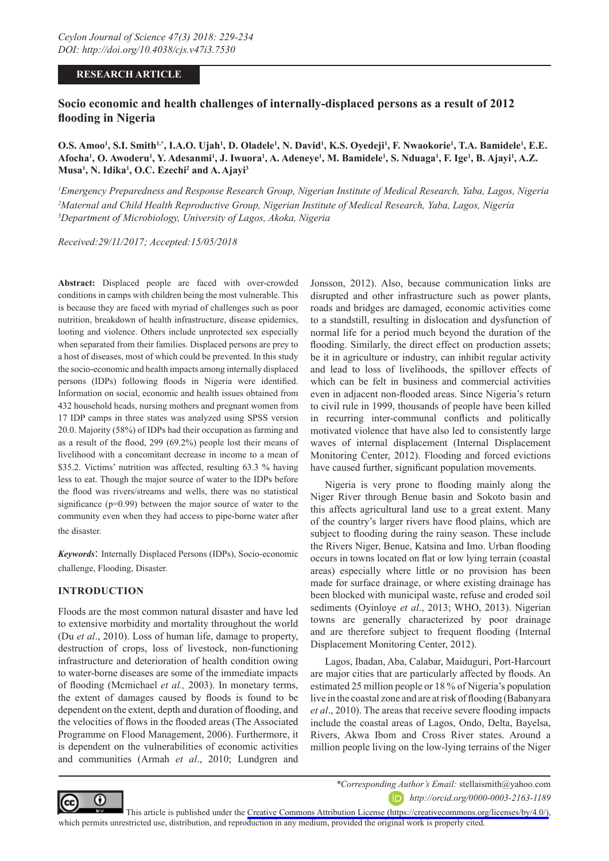### **RESEARCH ARTICLE**

# **Socio economic and health challenges of internally-displaced persons as a result of 2012 flooding in Nigeria**

O.S. Amoo<sup>1</sup>, S.I. Smith<sup>1,\*</sup>, I.A.O. Ujah<sup>1</sup>, D. Oladele<sup>1</sup>, N. David<sup>1</sup>, K.S. Oyedeji<sup>1</sup>, F. Nwaokorie<sup>1</sup>, T.A. Bamidele<sup>1</sup>, E.E.  $\Lambda$ focha<sup>1</sup>, O. Awoderu<sup>1</sup>, Y. Adesanmi<sup>1</sup>, J. Iwuora<sup>1</sup>, A. Adeneye<sup>1</sup>, M. Bamidele<sup>1</sup>, S. Nduaga<sup>1</sup>, F. Ige<sup>1</sup>, B. Ajayi<sup>1</sup>, A.Z. **Musa1 , N. Idika<sup>1</sup> , O.C. Ezechi2 and A. Ajayi3**

*1 Emergency Preparedness and Response Research Group, Nigerian Institute of Medical Research, Yaba, Lagos, Nigeria 2 Maternal and Child Health Reproductive Group, Nigerian Institute of Medical Research, Yaba, Lagos, Nigeria 3 Department of Microbiology, University of Lagos, Akoka, Nigeria*

*Received:29/11/2017; Accepted:15/05/2018*

**Abstract:** Displaced people are faced with over-crowded conditions in camps with children being the most vulnerable. This is because they are faced with myriad of challenges such as poor nutrition, breakdown of health infrastructure, disease epidemics, looting and violence. Others include unprotected sex especially when separated from their families. Displaced persons are prey to a host of diseases, most of which could be prevented. In this study the socio-economic and health impacts among internally displaced persons (IDPs) following floods in Nigeria were identified. Information on social, economic and health issues obtained from 432 household heads, nursing mothers and pregnant women from 17 IDP camps in three states was analyzed using SPSS version 20.0. Majority (58%) of IDPs had their occupation as farming and as a result of the flood, 299 (69.2%) people lost their means of livelihood with a concomitant decrease in income to a mean of \$35.2. Victims' nutrition was affected, resulting 63.3 % having less to eat. Though the major source of water to the IDPs before the flood was rivers/streams and wells, there was no statistical significance (p=0.99) between the major source of water to the community even when they had access to pipe-borne water after the disaster.

*Keywords*: Internally Displaced Persons (IDPs), Socio-economic challenge, Flooding, Disaster.

## **INTRODUCTION**

Floods are the most common natural disaster and have led to extensive morbidity and mortality throughout the world (Du *et al*., 2010). Loss of human life, damage to property, destruction of crops, loss of livestock, non-functioning infrastructure and deterioration of health condition owing to water-borne diseases are some of the immediate impacts of flooding (Mcmichael *et al.,* 2003). In monetary terms, the extent of damages caused by floods is found to be dependent on the extent, depth and duration of flooding, and the velocities of flows in the flooded areas (The Associated Programme on Flood Management, 2006). Furthermore, it is dependent on the vulnerabilities of economic activities and communities (Armah *et al*., 2010; Lundgren and

Jonsson, 2012). Also, because communication links are disrupted and other infrastructure such as power plants, roads and bridges are damaged, economic activities come to a standstill, resulting in dislocation and dysfunction of normal life for a period much beyond the duration of the flooding. Similarly, the direct effect on production assets; be it in agriculture or industry, can inhibit regular activity and lead to loss of livelihoods, the spillover effects of which can be felt in business and commercial activities even in adjacent non-flooded areas. Since Nigeria's return to civil rule in 1999, thousands of people have been killed in recurring inter-communal conflicts and politically motivated violence that have also led to consistently large waves of internal displacement (Internal Displacement Monitoring Center, 2012). Flooding and forced evictions have caused further, significant population movements.

Nigeria is very prone to flooding mainly along the Niger River through Benue basin and Sokoto basin and this affects agricultural land use to a great extent. Many of the country's larger rivers have flood plains, which are subject to flooding during the rainy season. These include the Rivers Niger, Benue, Katsina and Imo. Urban flooding occurs in towns located on flat or low lying terrain (coastal areas) especially where little or no provision has been made for surface drainage, or where existing drainage has been blocked with municipal waste, refuse and eroded soil sediments (Oyinloye *et al*., 2013; WHO, 2013). Nigerian towns are generally characterized by poor drainage and are therefore subject to frequent flooding (Internal Displacement Monitoring Center, 2012).

Lagos, Ibadan, Aba, Calabar, Maiduguri, Port-Harcourt are major cities that are particularly affected by floods. An estimated 25 million people or 18 % of Nigeria's population live in the coastal zone and are at risk of flooding (Babanyara *et al*., 2010). The areas that receive severe flooding impacts include the coastal areas of Lagos, Ondo, Delta, Bayelsa, Rivers, Akwa Ibom and Cross River states. Around a million people living on the low-lying terrains of the Niger



*\*Corresponding Author's Email:* stellaismith@yahoo.com

*http://orcid.org/0000-0003-2163-1189*

This article is published under the [Creative Commons Attribution License \(https://creativecommons.org/licenses/by/4.0/\)](https://creativecommons.org/licenses/by/4.0/), which permits unrestricted use, distribution, and reproduction in any medium, provided the original work is properly cited.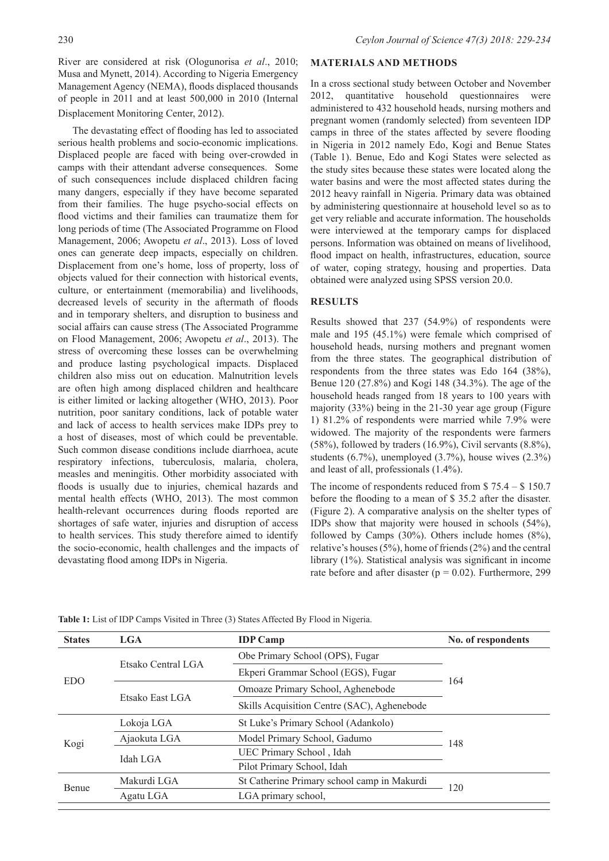River are considered at risk (Ologunorisa *et al*., 2010; Musa and Mynett, 2014). According to Nigeria Emergency Management Agency (NEMA), floods displaced thousands of people in 2011 and at least 500,000 in 2010 (Internal Displacement Monitoring Center, 2012).

The devastating effect of flooding has led to associated serious health problems and socio-economic implications. Displaced people are faced with being over-crowded in camps with their attendant adverse consequences. Some of such consequences include displaced children facing many dangers, especially if they have become separated from their families. The huge psycho-social effects on flood victims and their families can traumatize them for long periods of time (The Associated Programme on Flood Management, 2006; Awopetu *et al*., 2013). Loss of loved ones can generate deep impacts, especially on children. Displacement from one's home, loss of property, loss of objects valued for their connection with historical events, culture, or entertainment (memorabilia) and livelihoods, decreased levels of security in the aftermath of floods and in temporary shelters, and disruption to business and social affairs can cause stress (The Associated Programme on Flood Management, 2006; Awopetu *et al*., 2013). The stress of overcoming these losses can be overwhelming and produce lasting psychological impacts. Displaced children also miss out on education. Malnutrition levels are often high among displaced children and healthcare is either limited or lacking altogether (WHO, 2013). Poor nutrition, poor sanitary conditions, lack of potable water and lack of access to health services make IDPs prey to a host of diseases, most of which could be preventable. Such common disease conditions include diarrhoea, acute respiratory infections, tuberculosis, malaria, cholera, measles and meningitis. Other morbidity associated with floods is usually due to injuries, chemical hazards and mental health effects (WHO, 2013). The most common health-relevant occurrences during floods reported are shortages of safe water, injuries and disruption of access to health services. This study therefore aimed to identify the socio-economic, health challenges and the impacts of devastating flood among IDPs in Nigeria.

## **MATERIALS AND METHODS**

In a cross sectional study between October and November 2012, quantitative household questionnaires were administered to 432 household heads, nursing mothers and pregnant women (randomly selected) from seventeen IDP camps in three of the states affected by severe flooding in Nigeria in 2012 namely Edo, Kogi and Benue States (Table 1). Benue, Edo and Kogi States were selected as the study sites because these states were located along the water basins and were the most affected states during the 2012 heavy rainfall in Nigeria. Primary data was obtained by administering questionnaire at household level so as to get very reliable and accurate information. The households were interviewed at the temporary camps for displaced persons. Information was obtained on means of livelihood, flood impact on health, infrastructures, education, source of water, coping strategy, housing and properties. Data obtained were analyzed using SPSS version 20.0.

### **RESULTS**

Results showed that 237 (54.9%) of respondents were male and 195 (45.1%) were female which comprised of household heads, nursing mothers and pregnant women from the three states. The geographical distribution of respondents from the three states was Edo 164 (38%), Benue 120 (27.8%) and Kogi 148 (34.3%). The age of the household heads ranged from 18 years to 100 years with majority (33%) being in the 21-30 year age group (Figure 1) 81.2% of respondents were married while 7.9% were widowed. The majority of the respondents were farmers  $(58\%)$ , followed by traders  $(16.9\%)$ . Civil servants  $(8.8\%)$ . students  $(6.7\%)$ , unemployed  $(3.7\%)$ , house wives  $(2.3\%)$ and least of all, professionals (1.4%).

The income of respondents reduced from \$ 75.4 – \$ 150.7 before the flooding to a mean of \$ 35.2 after the disaster. (Figure 2). A comparative analysis on the shelter types of IDPs show that majority were housed in schools (54%), followed by Camps (30%). Others include homes (8%), relative's houses (5%), home of friends (2%) and the central library (1%). Statistical analysis was significant in income rate before and after disaster ( $p = 0.02$ ). Furthermore, 299

| <b>States</b> | LGA                | <b>IDP</b> Camp                             | No. of respondents |  |
|---------------|--------------------|---------------------------------------------|--------------------|--|
| EDO           | Etsako Central LGA | Obe Primary School (OPS), Fugar             |                    |  |
|               |                    | Ekperi Grammar School (EGS), Fugar          | 164                |  |
|               | Etsako East LGA    | Omoaze Primary School, Aghenebode           |                    |  |
|               |                    | Skills Acquisition Centre (SAC), Aghenebode |                    |  |
| Kogi          | Lokoja LGA         | St Luke's Primary School (Adankolo)         | 148                |  |
|               | Ajaokuta LGA       | Model Primary School, Gadumo                |                    |  |
|               | Idah LGA           | UEC Primary School, Idah                    |                    |  |
|               |                    | Pilot Primary School, Idah                  |                    |  |
| Benue         | Makurdi LGA        | St Catherine Primary school camp in Makurdi | 120                |  |
|               | Agatu LGA          | LGA primary school,                         |                    |  |
|               |                    |                                             |                    |  |

**Table 1:** List of IDP Camps Visited in Three (3) States Affected By Flood in Nigeria.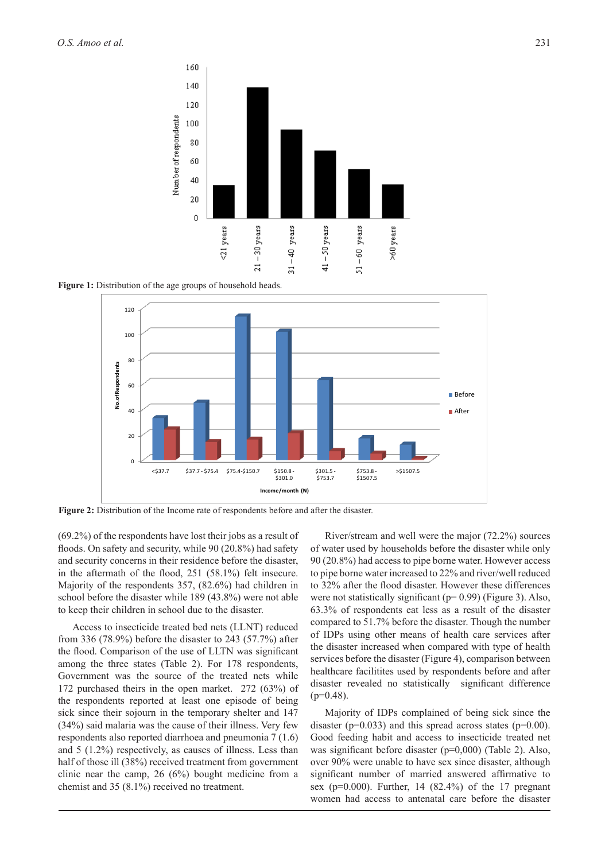

**Figure 1:** Distribution of the age groups of household heads.



**Figure 2:** Distribution of the Income rate of respondents before and after the disaster.

(69.2%) of the respondents have lost their jobs as a result of floods. On safety and security, while 90 (20.8%) had safety and security concerns in their residence before the disaster, in the aftermath of the flood, 251 (58.1%) felt insecure. Majority of the respondents 357, (82.6%) had children in school before the disaster while 189 (43.8%) were not able to keep their children in school due to the disaster.

Access to insecticide treated bed nets (LLNT) reduced from 336 (78.9%) before the disaster to 243 (57.7%) after the flood. Comparison of the use of LLTN was significant among the three states (Table 2). For 178 respondents, Government was the source of the treated nets while 172 purchased theirs in the open market. 272 (63%) of the respondents reported at least one episode of being sick since their sojourn in the temporary shelter and 147 (34%) said malaria was the cause of their illness. Very few respondents also reported diarrhoea and pneumonia 7 (1.6) and 5 (1.2%) respectively, as causes of illness. Less than half of those ill (38%) received treatment from government clinic near the camp, 26 (6%) bought medicine from a chemist and 35 (8.1%) received no treatment.

River/stream and well were the major (72.2%) sources of water used by households before the disaster while only 90 (20.8%) had access to pipe borne water. However access to pipe borne water increased to 22% and river/well reduced to 32% after the flood disaster. However these differences were not statistically significant (p= 0.99) (Figure 3). Also, 63.3% of respondents eat less as a result of the disaster compared to 51.7% before the disaster. Though the number of IDPs using other means of health care services after the disaster increased when compared with type of health services before the disaster (Figure 4), comparison between healthcare facilitites used by respondents before and after disaster revealed no statistically significant difference  $(p=0.48)$ .

Majority of IDPs complained of being sick since the disaster ( $p=0.033$ ) and this spread across states ( $p=0.00$ ). Good feeding habit and access to insecticide treated net was significant before disaster (p=0,000) (Table 2). Also, over 90% were unable to have sex since disaster, although significant number of married answered affirmative to sex ( $p=0.000$ ). Further, 14 (82.4%) of the 17 pregnant women had access to antenatal care before the disaster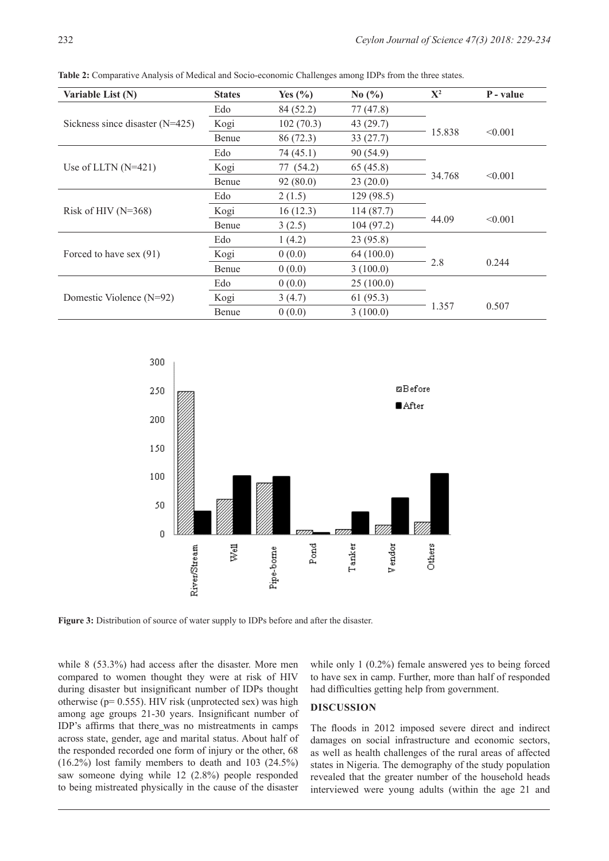| Variable List (N)                 | <b>States</b> | Yes $(\% )$ | No $\left(\frac{0}{0}\right)$ | ${\bf X}^2$ | P - value |
|-----------------------------------|---------------|-------------|-------------------------------|-------------|-----------|
|                                   | Edo           | 84 (52.2)   | 77(47.8)                      |             |           |
| Sickness since disaster $(N=425)$ | Kogi          | 102(70.3)   | 43(29.7)                      |             |           |
|                                   | Benue         | 86 (72.3)   | 33(27.7)                      | 15.838      | < 0.001   |
|                                   | Edo           | 74(45.1)    | 90 (54.9)                     |             |           |
| Use of LLTN $(N=421)$             | Kogi          | 77 (54.2)   | 65(45.8)                      |             |           |
|                                   | Benue         | 92(80.0)    | 23(20.0)                      | 34.768      | < 0.001   |
|                                   | Edo           | 2(1.5)      | 129(98.5)                     |             |           |
| Risk of HIV $(N=368)$             | Kogi          | 16(12.3)    | 114(87.7)                     |             |           |
|                                   | Benue         | 3(2.5)      | 104(97.2)                     | 44.09       | < 0.001   |
|                                   | Edo           | 1(4.2)      | 23(95.8)                      |             |           |
| Forced to have sex (91)           | Kogi          | 0(0.0)      | 64(100.0)                     |             |           |
|                                   | Benue         | 0(0.0)      | 3(100.0)                      | 2.8         | 0.244     |
|                                   | Edo           | 0(0.0)      | 25(100.0)                     |             |           |
| Domestic Violence $(N=92)$        | Kogi          | 3(4.7)      | 61(95.3)                      |             |           |
|                                   | Benue         | 0(0.0)      | 3(100.0)                      | 1.357       | 0.507     |

**Table 2:** Comparative Analysis of Medical and Socio-economic Challenges among IDPs from the three states.



**Figure 3:** Distribution of source of water supply to IDPs before and after the disaster.

while 8 (53.3%) had access after the disaster. More men compared to women thought they were at risk of HIV during disaster but insignificant number of IDPs thought otherwise ( $p= 0.555$ ). HIV risk (unprotected sex) was high among age groups 21-30 years. Insignificant number of IDP's affirms that there was no mistreatments in camps across state, gender, age and marital status. About half of the responded recorded one form of injury or the other, 68 (16.2%) lost family members to death and 103 (24.5%) saw someone dying while 12 (2.8%) people responded to being mistreated physically in the cause of the disaster

while only 1 (0.2%) female answered yes to being forced to have sex in camp. Further, more than half of responded had difficulties getting help from government.

#### **DISCUSSION**

The floods in 2012 imposed severe direct and indirect damages on social infrastructure and economic sectors, as well as health challenges of the rural areas of affected states in Nigeria. The demography of the study population revealed that the greater number of the household heads interviewed were young adults (within the age 21 and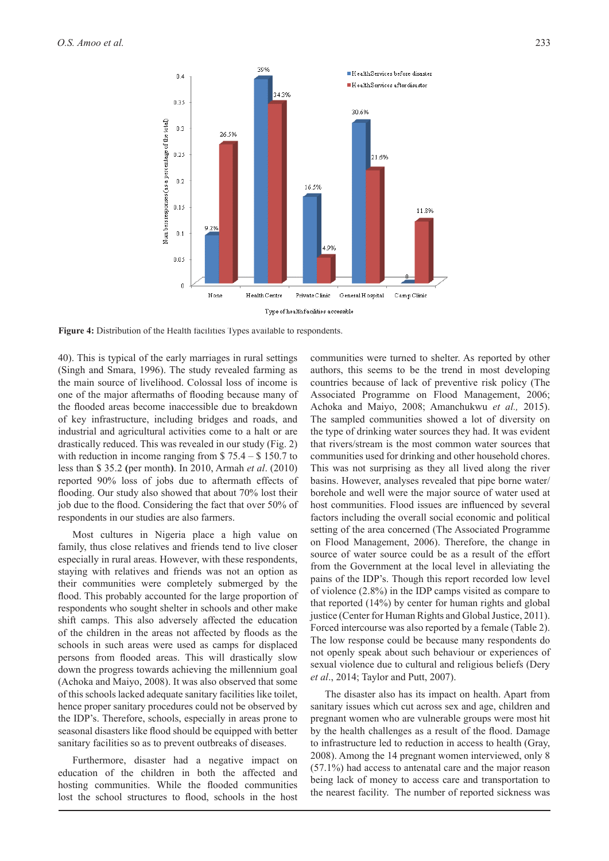

**Figure 4:** Distribution of the Health facilities Types available to respondents.

40). This is typical of the early marriages in rural settings (Singh and Smara, 1996). The study revealed farming as the main source of livelihood. Colossal loss of income is one of the major aftermaths of flooding because many of the flooded areas become inaccessible due to breakdown of key infrastructure, including bridges and roads, and industrial and agricultural activities come to a halt or are drastically reduced. This was revealed in our study (Fig. 2) with reduction in income ranging from \$75.4 – \$150.7 to less than \$ 35.2 **(**per month**)**. In 2010, Armah *et al*. (2010) reported 90% loss of jobs due to aftermath effects of flooding. Our study also showed that about 70% lost their job due to the flood. Considering the fact that over 50% of respondents in our studies are also farmers.

Most cultures in Nigeria place a high value on family, thus close relatives and friends tend to live closer especially in rural areas. However, with these respondents, staying with relatives and friends was not an option as their communities were completely submerged by the flood. This probably accounted for the large proportion of respondents who sought shelter in schools and other make shift camps. This also adversely affected the education of the children in the areas not affected by floods as the schools in such areas were used as camps for displaced persons from flooded areas. This will drastically slow down the progress towards achieving the millennium goal (Achoka and Maiyo, 2008). It was also observed that some of this schools lacked adequate sanitary facilities like toilet, hence proper sanitary procedures could not be observed by the IDP's. Therefore, schools, especially in areas prone to seasonal disasters like flood should be equipped with better sanitary facilities so as to prevent outbreaks of diseases.

Furthermore, disaster had a negative impact on education of the children in both the affected and hosting communities. While the flooded communities lost the school structures to flood, schools in the host communities were turned to shelter. As reported by other authors, this seems to be the trend in most developing countries because of lack of preventive risk policy (The Associated Programme on Flood Management, 2006; Achoka and Maiyo, 2008; Amanchukwu *et al.,* 2015). The sampled communities showed a lot of diversity on the type of drinking water sources they had. It was evident that rivers/stream is the most common water sources that communities used for drinking and other household chores. This was not surprising as they all lived along the river basins. However, analyses revealed that pipe borne water/ borehole and well were the major source of water used at host communities. Flood issues are influenced by several factors including the overall social economic and political setting of the area concerned (The Associated Programme on Flood Management, 2006). Therefore, the change in source of water source could be as a result of the effort from the Government at the local level in alleviating the pains of the IDP's. Though this report recorded low level of violence (2.8%) in the IDP camps visited as compare to that reported (14%) by center for human rights and global justice (Center for Human Rights and Global Justice, 2011). Forced intercourse was also reported by a female (Table 2). The low response could be because many respondents do not openly speak about such behaviour or experiences of sexual violence due to cultural and religious beliefs (Dery *et al*., 2014; Taylor and Putt, 2007).

The disaster also has its impact on health. Apart from sanitary issues which cut across sex and age, children and pregnant women who are vulnerable groups were most hit by the health challenges as a result of the flood. Damage to infrastructure led to reduction in access to health (Gray, 2008). Among the 14 pregnant women interviewed, only 8 (57.1%) had access to antenatal care and the major reason being lack of money to access care and transportation to the nearest facility. The number of reported sickness was